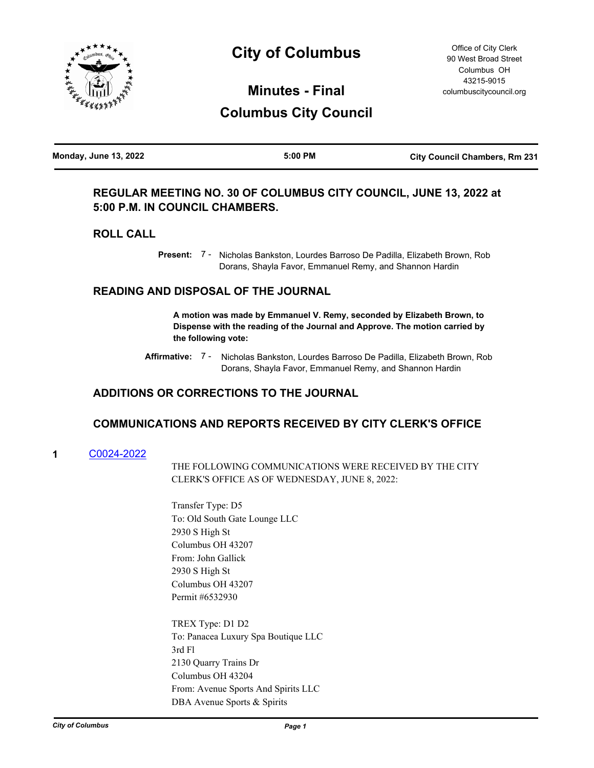

# **City of Columbus**

Office of City Clerk 90 West Broad Street Columbus OH 43215-9015 columbuscitycouncil.org

# **Minutes - Final Columbus City Council**

| <b>Monday, June 13, 2022</b> | 5:00 PM | <b>City Council Chambers, Rm 231</b> |
|------------------------------|---------|--------------------------------------|
|                              |         |                                      |

## **REGULAR MEETING NO. 30 OF COLUMBUS CITY COUNCIL, JUNE 13, 2022 at 5:00 P.M. IN COUNCIL CHAMBERS.**

## **ROLL CALL**

Present: 7 - Nicholas Bankston, Lourdes Barroso De Padilla, Elizabeth Brown, Rob Dorans, Shayla Favor, Emmanuel Remy, and Shannon Hardin

## **READING AND DISPOSAL OF THE JOURNAL**

**A motion was made by Emmanuel V. Remy, seconded by Elizabeth Brown, to Dispense with the reading of the Journal and Approve. The motion carried by the following vote:**

Affirmative: 7 - Nicholas Bankston, Lourdes Barroso De Padilla, Elizabeth Brown, Rob Dorans, Shayla Favor, Emmanuel Remy, and Shannon Hardin

## **ADDITIONS OR CORRECTIONS TO THE JOURNAL**

## **COMMUNICATIONS AND REPORTS RECEIVED BY CITY CLERK'S OFFICE**

**1** [C0024-2022](http://columbus.legistar.com/gateway.aspx?m=l&id=/matter.aspx?key=123239)

THE FOLLOWING COMMUNICATIONS WERE RECEIVED BY THE CITY CLERK'S OFFICE AS OF WEDNESDAY, JUNE 8, 2022:

Transfer Type: D5 To: Old South Gate Lounge LLC 2930 S High St Columbus OH 43207 From: John Gallick 2930 S High St Columbus OH 43207 Permit #6532930

TREX Type: D1 D2 To: Panacea Luxury Spa Boutique LLC 3rd Fl 2130 Quarry Trains Dr Columbus OH 43204 From: Avenue Sports And Spirits LLC DBA Avenue Sports & Spirits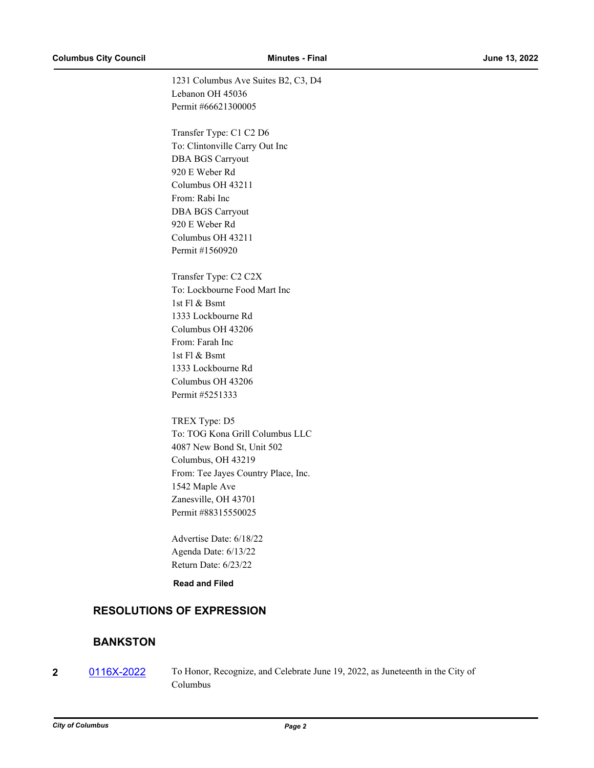1231 Columbus Ave Suites B2, C3, D4 Lebanon OH 45036 Permit #66621300005

Transfer Type: C1 C2 D6 To: Clintonville Carry Out Inc DBA BGS Carryout 920 E Weber Rd Columbus OH 43211 From: Rabi Inc DBA BGS Carryout 920 E Weber Rd Columbus OH 43211 Permit #1560920

Transfer Type: C2 C2X To: Lockbourne Food Mart Inc 1st Fl & Bsmt 1333 Lockbourne Rd Columbus OH 43206 From: Farah Inc 1st Fl & Bsmt 1333 Lockbourne Rd Columbus OH 43206 Permit #5251333

TREX Type: D5 To: TOG Kona Grill Columbus LLC 4087 New Bond St, Unit 502 Columbus, OH 43219 From: Tee Jayes Country Place, Inc. 1542 Maple Ave Zanesville, OH 43701 Permit #88315550025

Advertise Date: 6/18/22 Agenda Date: 6/13/22 Return Date: 6/23/22

**Read and Filed**

## **RESOLUTIONS OF EXPRESSION**

## **BANKSTON**

**2** [0116X-2022](http://columbus.legistar.com/gateway.aspx?m=l&id=/matter.aspx?key=123250) To Honor, Recognize, and Celebrate June 19, 2022, as Juneteenth in the City of Columbus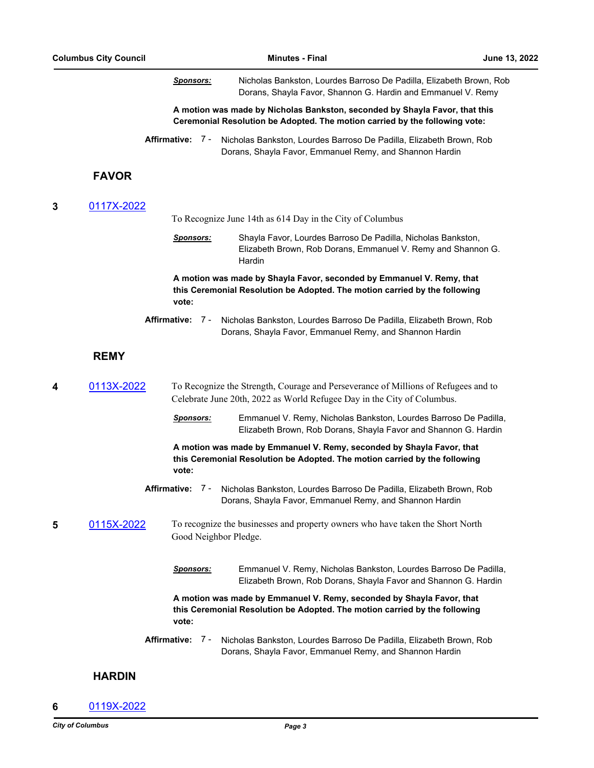*Sponsors:* Nicholas Bankston, Lourdes Barroso De Padilla, Elizabeth Brown, Rob Dorans, Shayla Favor, Shannon G. Hardin and Emmanuel V. Remy **A motion was made by Nicholas Bankston, seconded by Shayla Favor, that this Ceremonial Resolution be Adopted. The motion carried by the following vote: Affirmative:** Nicholas Bankston, Lourdes Barroso De Padilla, Elizabeth Brown, Rob Dorans, Shayla Favor, Emmanuel Remy, and Shannon Hardin Affirmative: 7 -**FAVOR 3** [0117X-2022](http://columbus.legistar.com/gateway.aspx?m=l&id=/matter.aspx?key=123253) To Recognize June 14th as 614 Day in the City of Columbus *Sponsors:* Shayla Favor, Lourdes Barroso De Padilla, Nicholas Bankston, Elizabeth Brown, Rob Dorans, Emmanuel V. Remy and Shannon G. Hardin **A motion was made by Shayla Favor, seconded by Emmanuel V. Remy, that this Ceremonial Resolution be Adopted. The motion carried by the following vote:** Affirmative: 7 - Nicholas Bankston, Lourdes Barroso De Padilla, Elizabeth Brown, Rob Dorans, Shayla Favor, Emmanuel Remy, and Shannon Hardin **REMY 4** [0113X-2022](http://columbus.legistar.com/gateway.aspx?m=l&id=/matter.aspx?key=123213) To Recognize the Strength, Courage and Perseverance of Millions of Refugees and to Celebrate June 20th, 2022 as World Refugee Day in the City of Columbus. *Sponsors:* Emmanuel V. Remy, Nicholas Bankston, Lourdes Barroso De Padilla, Elizabeth Brown, Rob Dorans, Shayla Favor and Shannon G. Hardin **A motion was made by Emmanuel V. Remy, seconded by Shayla Favor, that this Ceremonial Resolution be Adopted. The motion carried by the following vote: Affirmative:** Nicholas Bankston, Lourdes Barroso De Padilla, Elizabeth Brown, Rob Dorans, Shayla Favor, Emmanuel Remy, and Shannon Hardin Affirmative: 7 -**5** [0115X-2022](http://columbus.legistar.com/gateway.aspx?m=l&id=/matter.aspx?key=123249) To recognize the businesses and property owners who have taken the Short North Good Neighbor Pledge. *Sponsors:* Emmanuel V. Remy, Nicholas Bankston, Lourdes Barroso De Padilla, Elizabeth Brown, Rob Dorans, Shayla Favor and Shannon G. Hardin **A motion was made by Emmanuel V. Remy, seconded by Shayla Favor, that this Ceremonial Resolution be Adopted. The motion carried by the following vote:** Affirmative: 7 - Nicholas Bankston, Lourdes Barroso De Padilla, Elizabeth Brown, Rob Dorans, Shayla Favor, Emmanuel Remy, and Shannon Hardin

## **HARDIN**

**6** [0119X-2022](http://columbus.legistar.com/gateway.aspx?m=l&id=/matter.aspx?key=123258)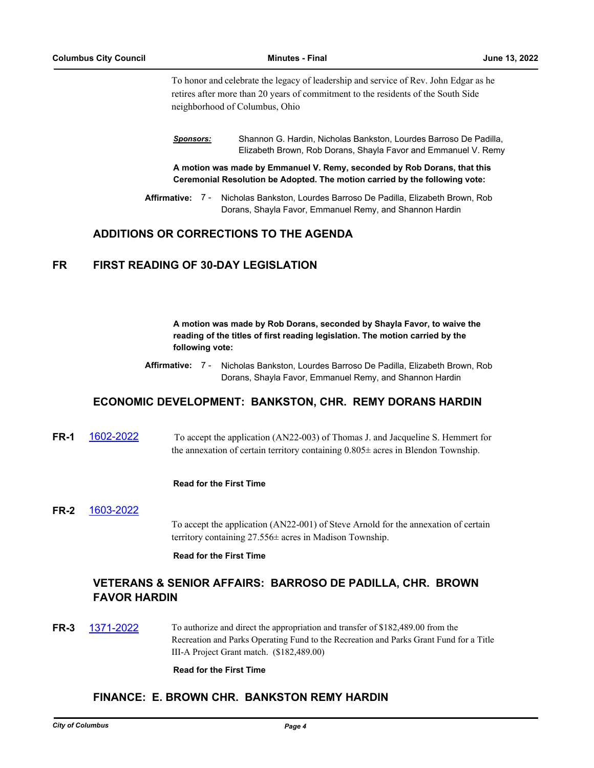To honor and celebrate the legacy of leadership and service of Rev. John Edgar as he retires after more than 20 years of commitment to the residents of the South Side neighborhood of Columbus, Ohio

*Sponsors:* Shannon G. Hardin, Nicholas Bankston, Lourdes Barroso De Padilla, Elizabeth Brown, Rob Dorans, Shayla Favor and Emmanuel V. Remy

**A motion was made by Emmanuel V. Remy, seconded by Rob Dorans, that this Ceremonial Resolution be Adopted. The motion carried by the following vote:**

Affirmative: 7 - Nicholas Bankston, Lourdes Barroso De Padilla, Elizabeth Brown, Rob Dorans, Shayla Favor, Emmanuel Remy, and Shannon Hardin

## **ADDITIONS OR CORRECTIONS TO THE AGENDA**

## **FR FIRST READING OF 30-DAY LEGISLATION**

**A motion was made by Rob Dorans, seconded by Shayla Favor, to waive the reading of the titles of first reading legislation. The motion carried by the following vote:**

Affirmative: 7 - Nicholas Bankston, Lourdes Barroso De Padilla, Elizabeth Brown, Rob Dorans, Shayla Favor, Emmanuel Remy, and Shannon Hardin

## **ECONOMIC DEVELOPMENT: BANKSTON, CHR. REMY DORANS HARDIN**

**FR-1** [1602-2022](http://columbus.legistar.com/gateway.aspx?m=l&id=/matter.aspx?key=123122) To accept the application (AN22-003) of Thomas J. and Jacqueline S. Hemmert for the annexation of certain territory containing  $0.805\pm$  acres in Blendon Township.

#### **Read for the First Time**

**FR-2** [1603-2022](http://columbus.legistar.com/gateway.aspx?m=l&id=/matter.aspx?key=123123) To accept the application (AN22-001) of Steve Arnold for the annexation of certain territory containing 27.556± acres in Madison Township.

**Read for the First Time**

## **VETERANS & SENIOR AFFAIRS: BARROSO DE PADILLA, CHR. BROWN FAVOR HARDIN**

**FR-3** [1371-2022](http://columbus.legistar.com/gateway.aspx?m=l&id=/matter.aspx?key=122887) To authorize and direct the appropriation and transfer of \$182,489.00 from the Recreation and Parks Operating Fund to the Recreation and Parks Grant Fund for a Title III-A Project Grant match. (\$182,489.00)

#### **Read for the First Time**

## **FINANCE: E. BROWN CHR. BANKSTON REMY HARDIN**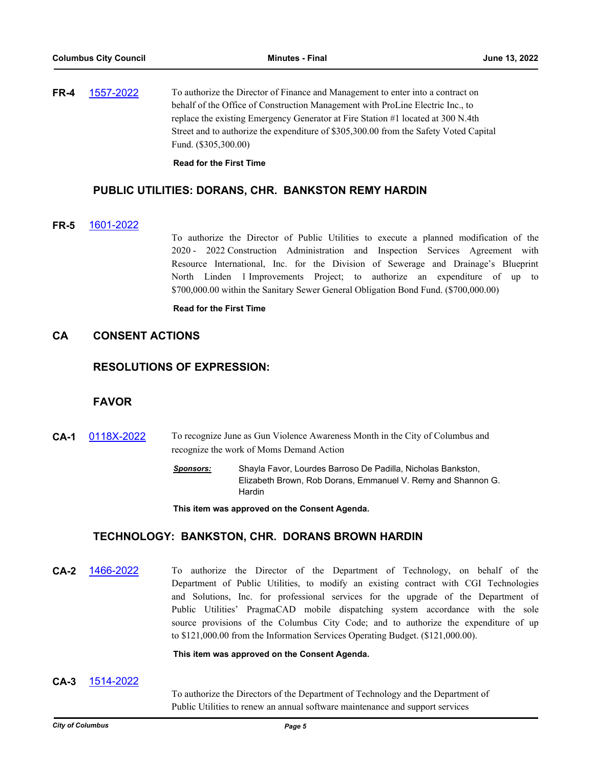**FR-4** [1557-2022](http://columbus.legistar.com/gateway.aspx?m=l&id=/matter.aspx?key=123075) To authorize the Director of Finance and Management to enter into a contract on behalf of the Office of Construction Management with ProLine Electric Inc., to replace the existing Emergency Generator at Fire Station #1 located at 300 N.4th Street and to authorize the expenditure of \$305,300.00 from the Safety Voted Capital Fund. (\$305,300.00)

**Read for the First Time**

#### **PUBLIC UTILITIES: DORANS, CHR. BANKSTON REMY HARDIN**

#### **FR-5** [1601-2022](http://columbus.legistar.com/gateway.aspx?m=l&id=/matter.aspx?key=123121)

To authorize the Director of Public Utilities to execute a planned modification of the 2020 - 2022 Construction Administration and Inspection Services Agreement with Resource International, Inc. for the Division of Sewerage and Drainage's Blueprint North Linden 1 Improvements Project; to authorize an expenditure of up to \$700,000.00 within the Sanitary Sewer General Obligation Bond Fund. (\$700,000.00)

#### **Read for the First Time**

## **CA CONSENT ACTIONS**

#### **RESOLUTIONS OF EXPRESSION:**

## **FAVOR**

- **CA-1** [0118X-2022](http://columbus.legistar.com/gateway.aspx?m=l&id=/matter.aspx?key=123256) To recognize June as Gun Violence Awareness Month in the City of Columbus and recognize the work of Moms Demand Action
	- *Sponsors:* Shayla Favor, Lourdes Barroso De Padilla, Nicholas Bankston, Elizabeth Brown, Rob Dorans, Emmanuel V. Remy and Shannon G. Hardin

**This item was approved on the Consent Agenda.**

### **TECHNOLOGY: BANKSTON, CHR. DORANS BROWN HARDIN**

**CA-2** [1466-2022](http://columbus.legistar.com/gateway.aspx?m=l&id=/matter.aspx?key=122983) To authorize the Director of the Department of Technology, on behalf of the Department of Public Utilities, to modify an existing contract with CGI Technologies and Solutions, Inc. for professional services for the upgrade of the Department of Public Utilities' PragmaCAD mobile dispatching system accordance with the sole source provisions of the Columbus City Code; and to authorize the expenditure of up to \$121,000.00 from the Information Services Operating Budget. (\$121,000.00).

#### **This item was approved on the Consent Agenda.**

#### **CA-3** [1514-2022](http://columbus.legistar.com/gateway.aspx?m=l&id=/matter.aspx?key=123032)

To authorize the Directors of the Department of Technology and the Department of Public Utilities to renew an annual software maintenance and support services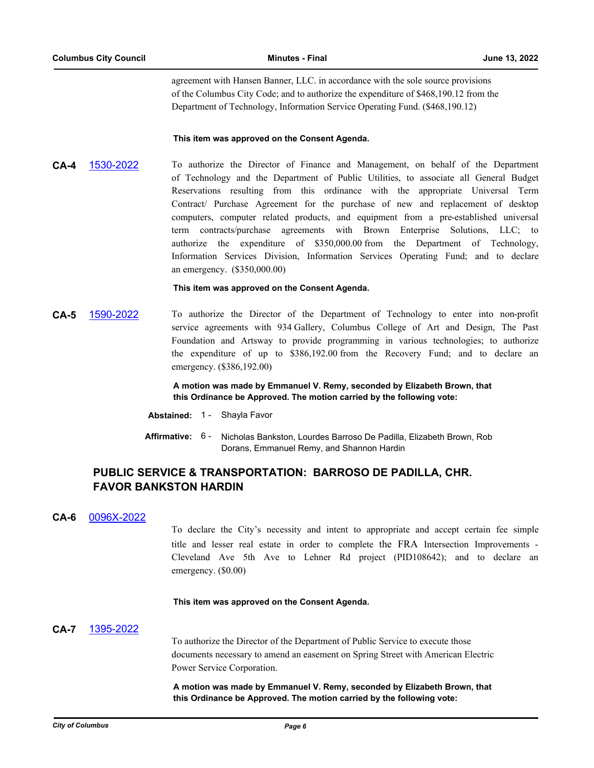agreement with Hansen Banner, LLC. in accordance with the sole source provisions of the Columbus City Code; and to authorize the expenditure of \$468,190.12 from the Department of Technology, Information Service Operating Fund. (\$468,190.12)

#### **This item was approved on the Consent Agenda.**

**CA-4** [1530-2022](http://columbus.legistar.com/gateway.aspx?m=l&id=/matter.aspx?key=123048) To authorize the Director of Finance and Management, on behalf of the Department of Technology and the Department of Public Utilities, to associate all General Budget Reservations resulting from this ordinance with the appropriate Universal Term Contract/ Purchase Agreement for the purchase of new and replacement of desktop computers, computer related products, and equipment from a pre-established universal term contracts/purchase agreements with Brown Enterprise Solutions, LLC; to authorize the expenditure of \$350,000.00 from the Department of Technology, Information Services Division, Information Services Operating Fund; and to declare an emergency. (\$350,000.00)

#### **This item was approved on the Consent Agenda.**

**CA-5** [1590-2022](http://columbus.legistar.com/gateway.aspx?m=l&id=/matter.aspx?key=123110) To authorize the Director of the Department of Technology to enter into non-profit service agreements with 934 Gallery, Columbus College of Art and Design, The Past Foundation and Artsway to provide programming in various technologies; to authorize the expenditure of up to \$386,192.00 from the Recovery Fund; and to declare an emergency. (\$386,192.00)

> **A motion was made by Emmanuel V. Remy, seconded by Elizabeth Brown, that this Ordinance be Approved. The motion carried by the following vote:**

- **Abstained:** 1 Shayla Favor
- Affirmative: 6 Nicholas Bankston, Lourdes Barroso De Padilla, Elizabeth Brown, Rob Dorans, Emmanuel Remy, and Shannon Hardin

## **PUBLIC SERVICE & TRANSPORTATION: BARROSO DE PADILLA, CHR. FAVOR BANKSTON HARDIN**

#### **CA-6** [0096X-2022](http://columbus.legistar.com/gateway.aspx?m=l&id=/matter.aspx?key=123101)

To declare the City's necessity and intent to appropriate and accept certain fee simple title and lesser real estate in order to complete the FRA Intersection Improvements - Cleveland Ave 5th Ave to Lehner Rd project (PID108642); and to declare an emergency. (\$0.00)

#### **This item was approved on the Consent Agenda.**

#### **CA-7** [1395-2022](http://columbus.legistar.com/gateway.aspx?m=l&id=/matter.aspx?key=122912)

To authorize the Director of the Department of Public Service to execute those documents necessary to amend an easement on Spring Street with American Electric Power Service Corporation.

**A motion was made by Emmanuel V. Remy, seconded by Elizabeth Brown, that this Ordinance be Approved. The motion carried by the following vote:**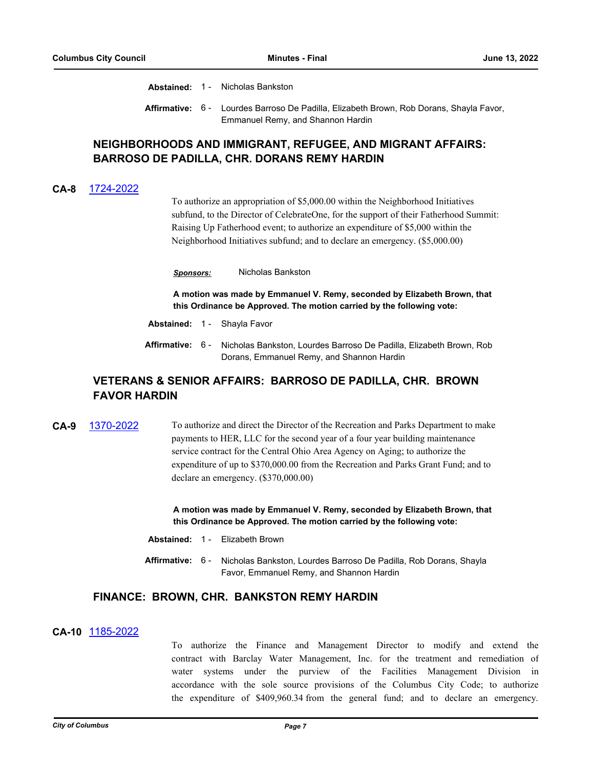**Abstained:** 1 - Nicholas Bankston

Affirmative: 6 - Lourdes Barroso De Padilla, Elizabeth Brown, Rob Dorans, Shayla Favor, Emmanuel Remy, and Shannon Hardin

## **NEIGHBORHOODS AND IMMIGRANT, REFUGEE, AND MIGRANT AFFAIRS: BARROSO DE PADILLA, CHR. DORANS REMY HARDIN**

### **CA-8** [1724-2022](http://columbus.legistar.com/gateway.aspx?m=l&id=/matter.aspx?key=123245)

To authorize an appropriation of \$5,000.00 within the Neighborhood Initiatives subfund, to the Director of CelebrateOne, for the support of their Fatherhood Summit: Raising Up Fatherhood event; to authorize an expenditure of \$5,000 within the Neighborhood Initiatives subfund; and to declare an emergency. (\$5,000.00)

*Sponsors:* Nicholas Bankston

**A motion was made by Emmanuel V. Remy, seconded by Elizabeth Brown, that this Ordinance be Approved. The motion carried by the following vote:**

- **Abstained:** 1 Shayla Favor
- **Affirmative:** Nicholas Bankston, Lourdes Barroso De Padilla, Elizabeth Brown, Rob Dorans, Emmanuel Remy, and Shannon Hardin Affirmative: 6 -

## **VETERANS & SENIOR AFFAIRS: BARROSO DE PADILLA, CHR. BROWN FAVOR HARDIN**

**CA-9** [1370-2022](http://columbus.legistar.com/gateway.aspx?m=l&id=/matter.aspx?key=122886) To authorize and direct the Director of the Recreation and Parks Department to make payments to HER, LLC for the second year of a four year building maintenance service contract for the Central Ohio Area Agency on Aging; to authorize the expenditure of up to \$370,000.00 from the Recreation and Parks Grant Fund; and to declare an emergency. (\$370,000.00)

> **A motion was made by Emmanuel V. Remy, seconded by Elizabeth Brown, that this Ordinance be Approved. The motion carried by the following vote:**

- **Abstained:** 1 Elizabeth Brown
- **Affirmative:** Nicholas Bankston, Lourdes Barroso De Padilla, Rob Dorans, Shayla Favor, Emmanuel Remy, and Shannon Hardin Affirmative: 6 -

## **FINANCE: BROWN, CHR. BANKSTON REMY HARDIN**

#### **CA-10** [1185-2022](http://columbus.legistar.com/gateway.aspx?m=l&id=/matter.aspx?key=122700)

To authorize the Finance and Management Director to modify and extend the contract with Barclay Water Management, Inc. for the treatment and remediation of water systems under the purview of the Facilities Management Division in accordance with the sole source provisions of the Columbus City Code; to authorize the expenditure of \$409,960.34 from the general fund; and to declare an emergency.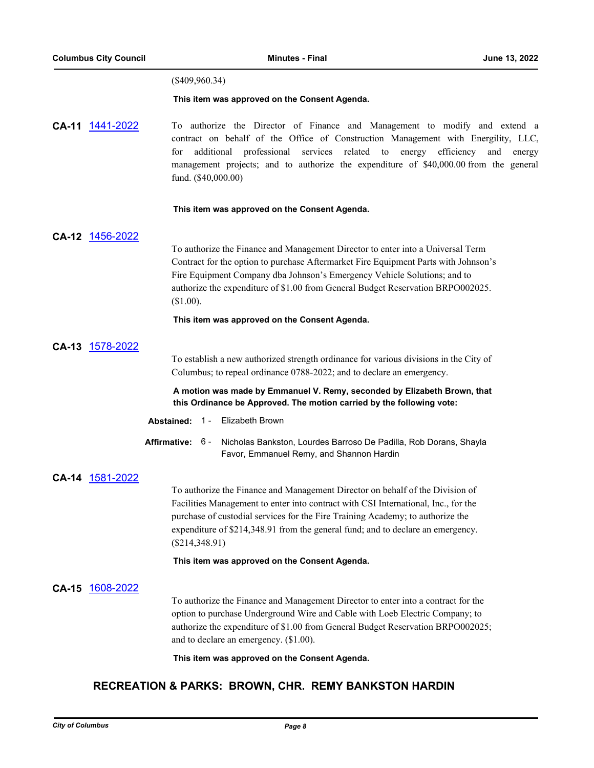### (\$409,960.34)

#### **This item was approved on the Consent Agenda.**

**CA-11** [1441-2022](http://columbus.legistar.com/gateway.aspx?m=l&id=/matter.aspx?key=122958) To authorize the Director of Finance and Management to modify and extend a contract on behalf of the Office of Construction Management with Energility, LLC, for additional professional services related to energy efficiency and energy management projects; and to authorize the expenditure of \$40,000.00 from the general fund. (\$40,000.00)

#### **This item was approved on the Consent Agenda.**

#### **CA-12** [1456-2022](http://columbus.legistar.com/gateway.aspx?m=l&id=/matter.aspx?key=122973)

To authorize the Finance and Management Director to enter into a Universal Term Contract for the option to purchase Aftermarket Fire Equipment Parts with Johnson's Fire Equipment Company dba Johnson's Emergency Vehicle Solutions; and to authorize the expenditure of \$1.00 from General Budget Reservation BRPO002025. (\$1.00).

#### **This item was approved on the Consent Agenda.**

### **CA-13** [1578-2022](http://columbus.legistar.com/gateway.aspx?m=l&id=/matter.aspx?key=123096)

To establish a new authorized strength ordinance for various divisions in the City of Columbus; to repeal ordinance 0788-2022; and to declare an emergency.

#### **A motion was made by Emmanuel V. Remy, seconded by Elizabeth Brown, that this Ordinance be Approved. The motion carried by the following vote:**

#### **Abstained:** 1 - Elizabeth Brown

Affirmative: 6 - Nicholas Bankston, Lourdes Barroso De Padilla, Rob Dorans, Shayla Favor, Emmanuel Remy, and Shannon Hardin

#### **CA-14** [1581-2022](http://columbus.legistar.com/gateway.aspx?m=l&id=/matter.aspx?key=123099)

To authorize the Finance and Management Director on behalf of the Division of Facilities Management to enter into contract with CSI International, Inc., for the purchase of custodial services for the Fire Training Academy; to authorize the expenditure of \$214,348.91 from the general fund; and to declare an emergency. (\$214,348.91)

#### **This item was approved on the Consent Agenda.**

#### **CA-15** [1608-2022](http://columbus.legistar.com/gateway.aspx?m=l&id=/matter.aspx?key=123128)

To authorize the Finance and Management Director to enter into a contract for the option to purchase Underground Wire and Cable with Loeb Electric Company; to authorize the expenditure of \$1.00 from General Budget Reservation BRPO002025; and to declare an emergency. (\$1.00).

**This item was approved on the Consent Agenda.**

## **RECREATION & PARKS: BROWN, CHR. REMY BANKSTON HARDIN**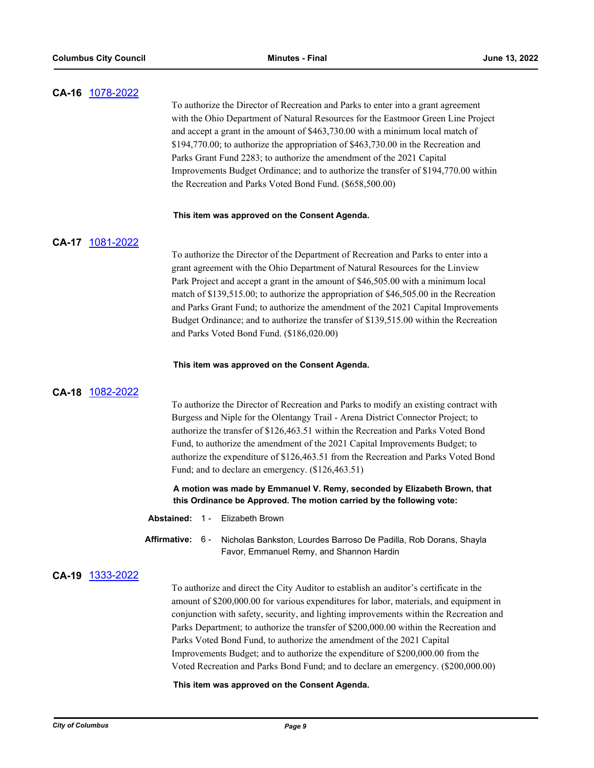| CA-16 1078-2022 |                                                                                                                                                                                                                                                                                                                                                                                                                                                                                           | To authorize the Director of Recreation and Parks to enter into a grant agreement<br>with the Ohio Department of Natural Resources for the Eastmoor Green Line Project<br>and accept a grant in the amount of \$463,730.00 with a minimum local match of<br>\$194,770.00; to authorize the appropriation of \$463,730.00 in the Recreation and<br>Parks Grant Fund 2283; to authorize the amendment of the 2021 Capital<br>Improvements Budget Ordinance; and to authorize the transfer of \$194,770.00 within<br>the Recreation and Parks Voted Bond Fund. (\$658,500.00)                                         |
|-----------------|-------------------------------------------------------------------------------------------------------------------------------------------------------------------------------------------------------------------------------------------------------------------------------------------------------------------------------------------------------------------------------------------------------------------------------------------------------------------------------------------|--------------------------------------------------------------------------------------------------------------------------------------------------------------------------------------------------------------------------------------------------------------------------------------------------------------------------------------------------------------------------------------------------------------------------------------------------------------------------------------------------------------------------------------------------------------------------------------------------------------------|
|                 |                                                                                                                                                                                                                                                                                                                                                                                                                                                                                           | This item was approved on the Consent Agenda.                                                                                                                                                                                                                                                                                                                                                                                                                                                                                                                                                                      |
| CA-17 1081-2022 |                                                                                                                                                                                                                                                                                                                                                                                                                                                                                           | To authorize the Director of the Department of Recreation and Parks to enter into a<br>grant agreement with the Ohio Department of Natural Resources for the Linview<br>Park Project and accept a grant in the amount of \$46,505.00 with a minimum local<br>match of \$139,515.00; to authorize the appropriation of \$46,505.00 in the Recreation<br>and Parks Grant Fund; to authorize the amendment of the 2021 Capital Improvements<br>Budget Ordinance; and to authorize the transfer of \$139,515.00 within the Recreation<br>and Parks Voted Bond Fund. (\$186,020.00)                                     |
|                 |                                                                                                                                                                                                                                                                                                                                                                                                                                                                                           | This item was approved on the Consent Agenda.                                                                                                                                                                                                                                                                                                                                                                                                                                                                                                                                                                      |
| CA-18 1082-2022 | To authorize the Director of Recreation and Parks to modify an existing contract with<br>Burgess and Niple for the Olentangy Trail - Arena District Connector Project; to<br>authorize the transfer of \$126,463.51 within the Recreation and Parks Voted Bond<br>Fund, to authorize the amendment of the 2021 Capital Improvements Budget; to<br>authorize the expenditure of \$126,463.51 from the Recreation and Parks Voted Bond<br>Fund; and to declare an emergency. (\$126,463.51) |                                                                                                                                                                                                                                                                                                                                                                                                                                                                                                                                                                                                                    |
|                 | A motion was made by Emmanuel V. Remy, seconded by Elizabeth Brown, that<br>this Ordinance be Approved. The motion carried by the following vote:                                                                                                                                                                                                                                                                                                                                         |                                                                                                                                                                                                                                                                                                                                                                                                                                                                                                                                                                                                                    |
|                 |                                                                                                                                                                                                                                                                                                                                                                                                                                                                                           | Abstained: 1 - Elizabeth Brown                                                                                                                                                                                                                                                                                                                                                                                                                                                                                                                                                                                     |
|                 | Affirmative: 6 -                                                                                                                                                                                                                                                                                                                                                                                                                                                                          | Nicholas Bankston, Lourdes Barroso De Padilla, Rob Dorans, Shayla<br>Favor, Emmanuel Remy, and Shannon Hardin                                                                                                                                                                                                                                                                                                                                                                                                                                                                                                      |
| CA-19 1333-2022 |                                                                                                                                                                                                                                                                                                                                                                                                                                                                                           | To authorize and direct the City Auditor to establish an auditor's certificate in the<br>amount of \$200,000.00 for various expenditures for labor, materials, and equipment in<br>conjunction with safety, security, and lighting improvements within the Recreation and<br>Parks Department; to authorize the transfer of \$200,000.00 within the Recreation and<br>Parks Voted Bond Fund, to authorize the amendment of the 2021 Capital<br>Improvements Budget; and to authorize the expenditure of \$200,000.00 from the<br>Voted Recreation and Parks Bond Fund; and to declare an emergency. (\$200,000.00) |

## **This item was approved on the Consent Agenda.**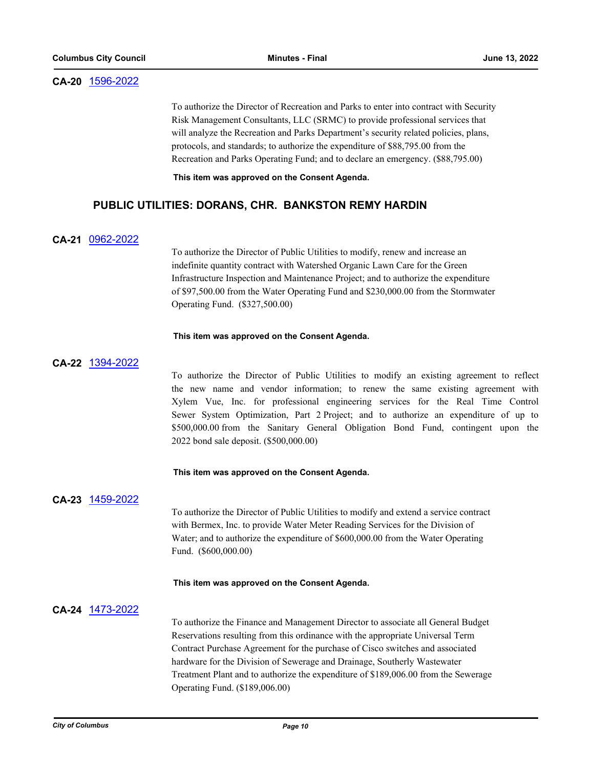#### **CA-20** [1596-2022](http://columbus.legistar.com/gateway.aspx?m=l&id=/matter.aspx?key=123116)

To authorize the Director of Recreation and Parks to enter into contract with Security Risk Management Consultants, LLC (SRMC) to provide professional services that will analyze the Recreation and Parks Department's security related policies, plans, protocols, and standards; to authorize the expenditure of \$88,795.00 from the Recreation and Parks Operating Fund; and to declare an emergency. (\$88,795.00)

**This item was approved on the Consent Agenda.**

## **PUBLIC UTILITIES: DORANS, CHR. BANKSTON REMY HARDIN**

#### **CA-21** [0962-2022](http://columbus.legistar.com/gateway.aspx?m=l&id=/matter.aspx?key=122474)

To authorize the Director of Public Utilities to modify, renew and increase an indefinite quantity contract with Watershed Organic Lawn Care for the Green Infrastructure Inspection and Maintenance Project; and to authorize the expenditure of \$97,500.00 from the Water Operating Fund and \$230,000.00 from the Stormwater Operating Fund. (\$327,500.00)

#### **This item was approved on the Consent Agenda.**

#### **CA-22** [1394-2022](http://columbus.legistar.com/gateway.aspx?m=l&id=/matter.aspx?key=122911)

To authorize the Director of Public Utilities to modify an existing agreement to reflect the new name and vendor information; to renew the same existing agreement with Xylem Vue, Inc. for professional engineering services for the Real Time Control Sewer System Optimization, Part 2 Project; and to authorize an expenditure of up to \$500,000.00 from the Sanitary General Obligation Bond Fund, contingent upon the 2022 bond sale deposit. (\$500,000.00)

#### **This item was approved on the Consent Agenda.**

#### **CA-23** [1459-2022](http://columbus.legistar.com/gateway.aspx?m=l&id=/matter.aspx?key=122976)

To authorize the Director of Public Utilities to modify and extend a service contract with Bermex, Inc. to provide Water Meter Reading Services for the Division of Water; and to authorize the expenditure of \$600,000.00 from the Water Operating Fund. (\$600,000.00)

#### **This item was approved on the Consent Agenda.**

### **CA-24** [1473-2022](http://columbus.legistar.com/gateway.aspx?m=l&id=/matter.aspx?key=122990)

To authorize the Finance and Management Director to associate all General Budget Reservations resulting from this ordinance with the appropriate Universal Term Contract Purchase Agreement for the purchase of Cisco switches and associated hardware for the Division of Sewerage and Drainage, Southerly Wastewater Treatment Plant and to authorize the expenditure of \$189,006.00 from the Sewerage Operating Fund. (\$189,006.00)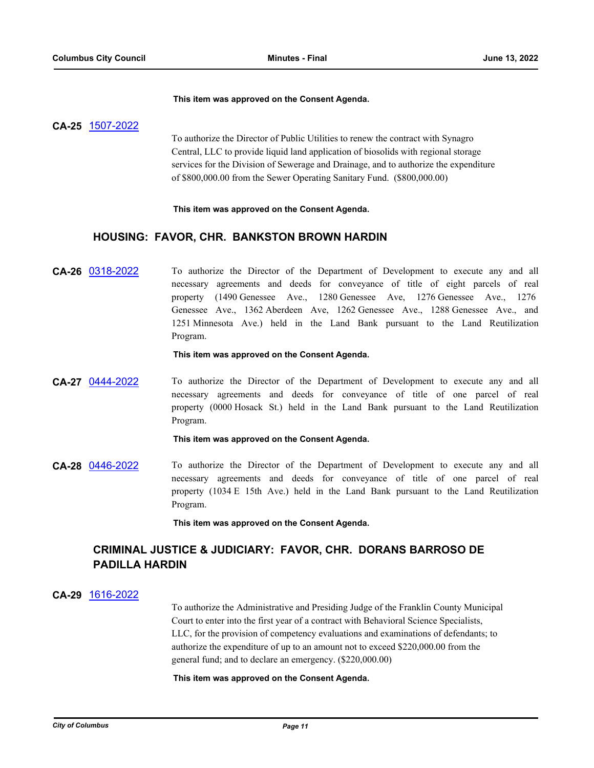#### **This item was approved on the Consent Agenda.**

#### **CA-25** [1507-2022](http://columbus.legistar.com/gateway.aspx?m=l&id=/matter.aspx?key=123025)

To authorize the Director of Public Utilities to renew the contract with Synagro Central, LLC to provide liquid land application of biosolids with regional storage services for the Division of Sewerage and Drainage, and to authorize the expenditure of \$800,000.00 from the Sewer Operating Sanitary Fund. (\$800,000.00)

#### **This item was approved on the Consent Agenda.**

## **HOUSING: FAVOR, CHR. BANKSTON BROWN HARDIN**

**CA-26** [0318-2022](http://columbus.legistar.com/gateway.aspx?m=l&id=/matter.aspx?key=121830) To authorize the Director of the Department of Development to execute any and all necessary agreements and deeds for conveyance of title of eight parcels of real property (1490 Genessee Ave., 1280 Genessee Ave, 1276 Genessee Ave., 1276 Genessee Ave., 1362 Aberdeen Ave, 1262 Genessee Ave., 1288 Genessee Ave., and 1251 Minnesota Ave.) held in the Land Bank pursuant to the Land Reutilization Program.

**This item was approved on the Consent Agenda.**

**CA-27** [0444-2022](http://columbus.legistar.com/gateway.aspx?m=l&id=/matter.aspx?key=121956) To authorize the Director of the Department of Development to execute any and all necessary agreements and deeds for conveyance of title of one parcel of real property (0000 Hosack St.) held in the Land Bank pursuant to the Land Reutilization Program.

#### **This item was approved on the Consent Agenda.**

**CA-28** [0446-2022](http://columbus.legistar.com/gateway.aspx?m=l&id=/matter.aspx?key=121958) To authorize the Director of the Department of Development to execute any and all necessary agreements and deeds for conveyance of title of one parcel of real property (1034 E 15th Ave.) held in the Land Bank pursuant to the Land Reutilization Program.

**This item was approved on the Consent Agenda.**

## **CRIMINAL JUSTICE & JUDICIARY: FAVOR, CHR. DORANS BARROSO DE PADILLA HARDIN**

#### **CA-29** [1616-2022](http://columbus.legistar.com/gateway.aspx?m=l&id=/matter.aspx?key=123136)

To authorize the Administrative and Presiding Judge of the Franklin County Municipal Court to enter into the first year of a contract with Behavioral Science Specialists, LLC, for the provision of competency evaluations and examinations of defendants; to authorize the expenditure of up to an amount not to exceed \$220,000.00 from the general fund; and to declare an emergency. (\$220,000.00)

#### **This item was approved on the Consent Agenda.**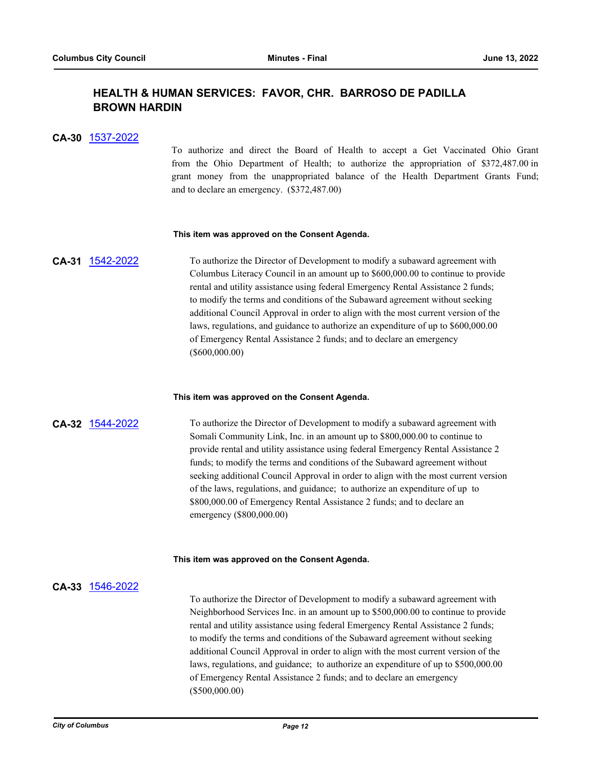## **HEALTH & HUMAN SERVICES: FAVOR, CHR. BARROSO DE PADILLA BROWN HARDIN**

#### **CA-30** [1537-2022](http://columbus.legistar.com/gateway.aspx?m=l&id=/matter.aspx?key=123055)

To authorize and direct the Board of Health to accept a Get Vaccinated Ohio Grant from the Ohio Department of Health; to authorize the appropriation of \$372,487.00 in grant money from the unappropriated balance of the Health Department Grants Fund; and to declare an emergency. (\$372,487.00)

#### **This item was approved on the Consent Agenda.**

**CA-31** [1542-2022](http://columbus.legistar.com/gateway.aspx?m=l&id=/matter.aspx?key=123060) To authorize the Director of Development to modify a subaward agreement with Columbus Literacy Council in an amount up to \$600,000.00 to continue to provide rental and utility assistance using federal Emergency Rental Assistance 2 funds; to modify the terms and conditions of the Subaward agreement without seeking additional Council Approval in order to align with the most current version of the laws, regulations, and guidance to authorize an expenditure of up to \$600,000.00 of Emergency Rental Assistance 2 funds; and to declare an emergency (\$600,000.00)

#### **This item was approved on the Consent Agenda.**

**CA-32** [1544-2022](http://columbus.legistar.com/gateway.aspx?m=l&id=/matter.aspx?key=123062) To authorize the Director of Development to modify a subaward agreement with Somali Community Link, Inc. in an amount up to \$800,000.00 to continue to provide rental and utility assistance using federal Emergency Rental Assistance 2 funds; to modify the terms and conditions of the Subaward agreement without seeking additional Council Approval in order to align with the most current version of the laws, regulations, and guidance; to authorize an expenditure of up to \$800,000.00 of Emergency Rental Assistance 2 funds; and to declare an emergency (\$800,000.00)

#### **This item was approved on the Consent Agenda.**

### **CA-33** [1546-2022](http://columbus.legistar.com/gateway.aspx?m=l&id=/matter.aspx?key=123064)

To authorize the Director of Development to modify a subaward agreement with Neighborhood Services Inc. in an amount up to \$500,000.00 to continue to provide rental and utility assistance using federal Emergency Rental Assistance 2 funds; to modify the terms and conditions of the Subaward agreement without seeking additional Council Approval in order to align with the most current version of the laws, regulations, and guidance; to authorize an expenditure of up to \$500,000.00 of Emergency Rental Assistance 2 funds; and to declare an emergency (\$500,000.00)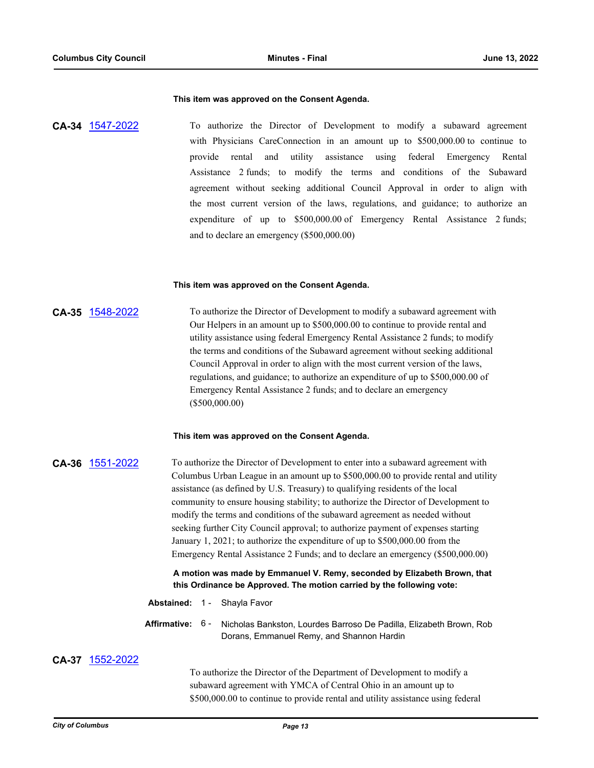#### **This item was approved on the Consent Agenda.**

**CA-34** [1547-2022](http://columbus.legistar.com/gateway.aspx?m=l&id=/matter.aspx?key=123065) To authorize the Director of Development to modify a subaward agreement with Physicians CareConnection in an amount up to \$500,000.00 to continue to provide rental and utility assistance using federal Emergency Rental Assistance 2 funds; to modify the terms and conditions of the Subaward agreement without seeking additional Council Approval in order to align with the most current version of the laws, regulations, and guidance; to authorize an expenditure of up to \$500,000.00 of Emergency Rental Assistance 2 funds; and to declare an emergency (\$500,000.00)

#### **This item was approved on the Consent Agenda.**

## **CA-35** [1548-2022](http://columbus.legistar.com/gateway.aspx?m=l&id=/matter.aspx?key=123066) To authorize the Director of Development to modify a subaward agreement with Our Helpers in an amount up to \$500,000.00 to continue to provide rental and utility assistance using federal Emergency Rental Assistance 2 funds; to modify the terms and conditions of the Subaward agreement without seeking additional Council Approval in order to align with the most current version of the laws, regulations, and guidance; to authorize an expenditure of up to \$500,000.00 of Emergency Rental Assistance 2 funds; and to declare an emergency (\$500,000.00)

#### **This item was approved on the Consent Agenda.**

**CA-36** [1551-2022](http://columbus.legistar.com/gateway.aspx?m=l&id=/matter.aspx?key=123069) To authorize the Director of Development to enter into a subaward agreement with Columbus Urban League in an amount up to \$500,000.00 to provide rental and utility assistance (as defined by U.S. Treasury) to qualifying residents of the local community to ensure housing stability; to authorize the Director of Development to modify the terms and conditions of the subaward agreement as needed without seeking further City Council approval; to authorize payment of expenses starting January 1, 2021; to authorize the expenditure of up to \$500,000.00 from the Emergency Rental Assistance 2 Funds; and to declare an emergency (\$500,000.00)

#### **A motion was made by Emmanuel V. Remy, seconded by Elizabeth Brown, that this Ordinance be Approved. The motion carried by the following vote:**

- **Abstained:** 1 Shayla Favor
- **Affirmative:** Nicholas Bankston, Lourdes Barroso De Padilla, Elizabeth Brown, Rob Dorans, Emmanuel Remy, and Shannon Hardin Affirmative: 6-

#### **CA-37** [1552-2022](http://columbus.legistar.com/gateway.aspx?m=l&id=/matter.aspx?key=123070)

To authorize the Director of the Department of Development to modify a subaward agreement with YMCA of Central Ohio in an amount up to \$500,000.00 to continue to provide rental and utility assistance using federal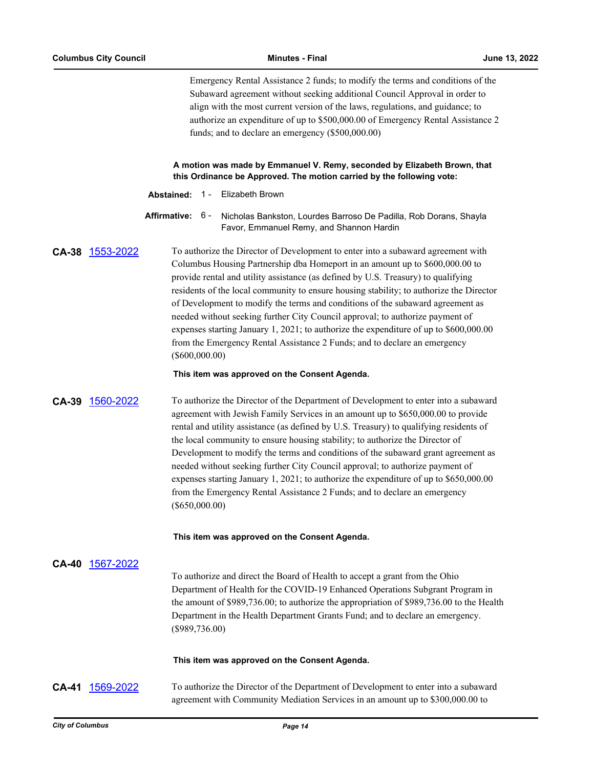Emergency Rental Assistance 2 funds; to modify the terms and conditions of the Subaward agreement without seeking additional Council Approval in order to align with the most current version of the laws, regulations, and guidance; to authorize an expenditure of up to \$500,000.00 of Emergency Rental Assistance 2 funds; and to declare an emergency (\$500,000.00)

**A motion was made by Emmanuel V. Remy, seconded by Elizabeth Brown, that this Ordinance be Approved. The motion carried by the following vote:**

**Abstained:** 1 - Elizabeth Brown

Affirmative: 6 - Nicholas Bankston, Lourdes Barroso De Padilla, Rob Dorans, Shayla Favor, Emmanuel Remy, and Shannon Hardin

**CA-38** [1553-2022](http://columbus.legistar.com/gateway.aspx?m=l&id=/matter.aspx?key=123071) To authorize the Director of Development to enter into a subaward agreement with Columbus Housing Partnership dba Homeport in an amount up to \$600,000.00 to provide rental and utility assistance (as defined by U.S. Treasury) to qualifying residents of the local community to ensure housing stability; to authorize the Director of Development to modify the terms and conditions of the subaward agreement as needed without seeking further City Council approval; to authorize payment of expenses starting January 1, 2021; to authorize the expenditure of up to \$600,000.00 from the Emergency Rental Assistance 2 Funds; and to declare an emergency (\$600,000.00)

#### **This item was approved on the Consent Agenda.**

**CA-39** [1560-2022](http://columbus.legistar.com/gateway.aspx?m=l&id=/matter.aspx?key=123078) To authorize the Director of the Department of Development to enter into a subaward agreement with Jewish Family Services in an amount up to \$650,000.00 to provide rental and utility assistance (as defined by U.S. Treasury) to qualifying residents of the local community to ensure housing stability; to authorize the Director of Development to modify the terms and conditions of the subaward grant agreement as needed without seeking further City Council approval; to authorize payment of expenses starting January 1, 2021; to authorize the expenditure of up to \$650,000.00 from the Emergency Rental Assistance 2 Funds; and to declare an emergency (\$650,000.00)

**This item was approved on the Consent Agenda.**

#### **CA-40** [1567-2022](http://columbus.legistar.com/gateway.aspx?m=l&id=/matter.aspx?key=123085)

To authorize and direct the Board of Health to accept a grant from the Ohio Department of Health for the COVID-19 Enhanced Operations Subgrant Program in the amount of \$989,736.00; to authorize the appropriation of \$989,736.00 to the Health Department in the Health Department Grants Fund; and to declare an emergency. (\$989,736.00)

#### **This item was approved on the Consent Agenda.**

**CA-41** [1569-2022](http://columbus.legistar.com/gateway.aspx?m=l&id=/matter.aspx?key=123087) To authorize the Director of the Department of Development to enter into a subaward agreement with Community Mediation Services in an amount up to \$300,000.00 to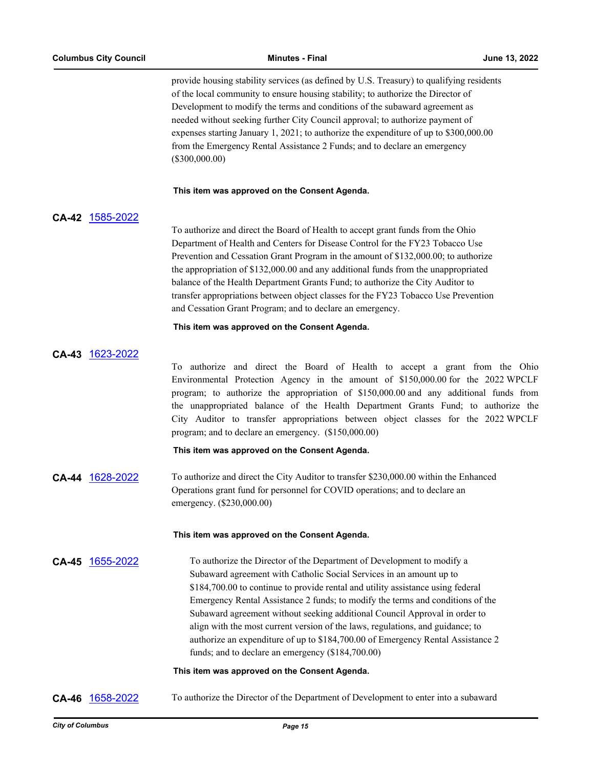provide housing stability services (as defined by U.S. Treasury) to qualifying residents of the local community to ensure housing stability; to authorize the Director of Development to modify the terms and conditions of the subaward agreement as needed without seeking further City Council approval; to authorize payment of expenses starting January 1, 2021; to authorize the expenditure of up to \$300,000.00 from the Emergency Rental Assistance 2 Funds; and to declare an emergency (\$300,000.00)

#### **This item was approved on the Consent Agenda.**

## **CA-42** [1585-2022](http://columbus.legistar.com/gateway.aspx?m=l&id=/matter.aspx?key=123105)

To authorize and direct the Board of Health to accept grant funds from the Ohio Department of Health and Centers for Disease Control for the FY23 Tobacco Use Prevention and Cessation Grant Program in the amount of \$132,000.00; to authorize the appropriation of \$132,000.00 and any additional funds from the unappropriated balance of the Health Department Grants Fund; to authorize the City Auditor to transfer appropriations between object classes for the FY23 Tobacco Use Prevention and Cessation Grant Program; and to declare an emergency.

#### **This item was approved on the Consent Agenda.**

### **CA-43** [1623-2022](http://columbus.legistar.com/gateway.aspx?m=l&id=/matter.aspx?key=123143)

To authorize and direct the Board of Health to accept a grant from the Ohio Environmental Protection Agency in the amount of \$150,000.00 for the 2022 WPCLF program; to authorize the appropriation of \$150,000.00 and any additional funds from the unappropriated balance of the Health Department Grants Fund; to authorize the City Auditor to transfer appropriations between object classes for the 2022 WPCLF program; and to declare an emergency. (\$150,000.00)

#### **This item was approved on the Consent Agenda.**

**CA-44** [1628-2022](http://columbus.legistar.com/gateway.aspx?m=l&id=/matter.aspx?key=123148) To authorize and direct the City Auditor to transfer \$230,000.00 within the Enhanced Operations grant fund for personnel for COVID operations; and to declare an emergency. (\$230,000.00)

#### **This item was approved on the Consent Agenda.**

## **CA-45** [1655-2022](http://columbus.legistar.com/gateway.aspx?m=l&id=/matter.aspx?key=123175) To authorize the Director of the Department of Development to modify a Subaward agreement with Catholic Social Services in an amount up to \$184,700.00 to continue to provide rental and utility assistance using federal Emergency Rental Assistance 2 funds; to modify the terms and conditions of the Subaward agreement without seeking additional Council Approval in order to align with the most current version of the laws, regulations, and guidance; to authorize an expenditure of up to \$184,700.00 of Emergency Rental Assistance 2 funds; and to declare an emergency (\$184,700.00)

#### **This item was approved on the Consent Agenda.**

**CA-46** [1658-2022](http://columbus.legistar.com/gateway.aspx?m=l&id=/matter.aspx?key=123178) To authorize the Director of the Department of Development to enter into a subaward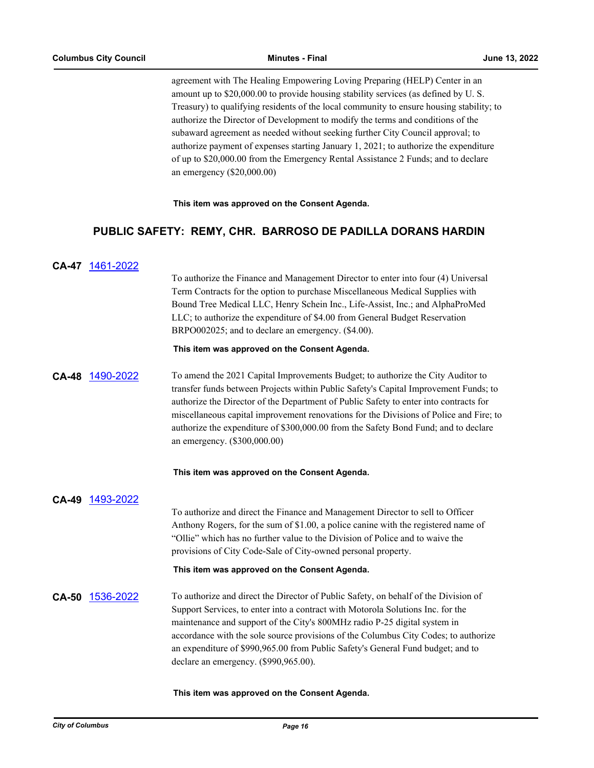agreement with The Healing Empowering Loving Preparing (HELP) Center in an amount up to \$20,000.00 to provide housing stability services (as defined by U. S. Treasury) to qualifying residents of the local community to ensure housing stability; to authorize the Director of Development to modify the terms and conditions of the subaward agreement as needed without seeking further City Council approval; to authorize payment of expenses starting January 1, 2021; to authorize the expenditure of up to \$20,000.00 from the Emergency Rental Assistance 2 Funds; and to declare an emergency (\$20,000.00)

**This item was approved on the Consent Agenda.**

## **PUBLIC SAFETY: REMY, CHR. BARROSO DE PADILLA DORANS HARDIN**

## **CA-47** [1461-2022](http://columbus.legistar.com/gateway.aspx?m=l&id=/matter.aspx?key=122978)

To authorize the Finance and Management Director to enter into four (4) Universal Term Contracts for the option to purchase Miscellaneous Medical Supplies with Bound Tree Medical LLC, Henry Schein Inc., Life-Assist, Inc.; and AlphaProMed LLC; to authorize the expenditure of \$4.00 from General Budget Reservation BRPO002025; and to declare an emergency. (\$4.00).

#### **This item was approved on the Consent Agenda.**

**CA-48** [1490-2022](http://columbus.legistar.com/gateway.aspx?m=l&id=/matter.aspx?key=123008) To amend the 2021 Capital Improvements Budget; to authorize the City Auditor to transfer funds between Projects within Public Safety's Capital Improvement Funds; to authorize the Director of the Department of Public Safety to enter into contracts for miscellaneous capital improvement renovations for the Divisions of Police and Fire; to authorize the expenditure of \$300,000.00 from the Safety Bond Fund; and to declare an emergency. (\$300,000.00)

#### **This item was approved on the Consent Agenda.**

### **CA-49** [1493-2022](http://columbus.legistar.com/gateway.aspx?m=l&id=/matter.aspx?key=123011)

To authorize and direct the Finance and Management Director to sell to Officer Anthony Rogers, for the sum of \$1.00, a police canine with the registered name of "Ollie" which has no further value to the Division of Police and to waive the provisions of City Code-Sale of City-owned personal property.

#### **This item was approved on the Consent Agenda.**

**CA-50** [1536-2022](http://columbus.legistar.com/gateway.aspx?m=l&id=/matter.aspx?key=123054) To authorize and direct the Director of Public Safety, on behalf of the Division of Support Services, to enter into a contract with Motorola Solutions Inc. for the maintenance and support of the City's 800MHz radio P-25 digital system in accordance with the sole source provisions of the Columbus City Codes; to authorize an expenditure of \$990,965.00 from Public Safety's General Fund budget; and to declare an emergency. (\$990,965.00).

#### **This item was approved on the Consent Agenda.**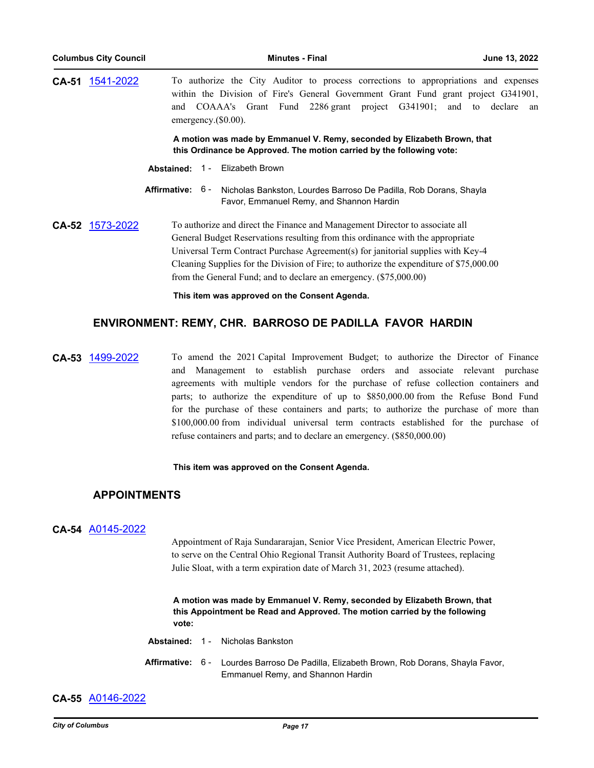**CA-51** [1541-2022](http://columbus.legistar.com/gateway.aspx?m=l&id=/matter.aspx?key=123059) To authorize the City Auditor to process corrections to appropriations and expenses within the Division of Fire's General Government Grant Fund grant project G341901, and COAAA's Grant Fund 2286 grant project G341901; and to declare an emergency.(\$0.00). **A motion was made by Emmanuel V. Remy, seconded by Elizabeth Brown, that this Ordinance be Approved. The motion carried by the following vote:**

**Abstained:** 1 - Elizabeth Brown

Affirmative: 6 - Nicholas Bankston, Lourdes Barroso De Padilla, Rob Dorans, Shayla Favor, Emmanuel Remy, and Shannon Hardin

## **CA-52** [1573-2022](http://columbus.legistar.com/gateway.aspx?m=l&id=/matter.aspx?key=123091) To authorize and direct the Finance and Management Director to associate all General Budget Reservations resulting from this ordinance with the appropriate Universal Term Contract Purchase Agreement(s) for janitorial supplies with Key-4 Cleaning Supplies for the Division of Fire; to authorize the expenditure of \$75,000.00 from the General Fund; and to declare an emergency. (\$75,000.00)

**This item was approved on the Consent Agenda.**

## **ENVIRONMENT: REMY, CHR. BARROSO DE PADILLA FAVOR HARDIN**

**CA-53** [1499-2022](http://columbus.legistar.com/gateway.aspx?m=l&id=/matter.aspx?key=123017) To amend the 2021 Capital Improvement Budget; to authorize the Director of Finance and Management to establish purchase orders and associate relevant purchase agreements with multiple vendors for the purchase of refuse collection containers and parts; to authorize the expenditure of up to \$850,000.00 from the Refuse Bond Fund for the purchase of these containers and parts; to authorize the purchase of more than \$100,000.00 from individual universal term contracts established for the purchase of refuse containers and parts; and to declare an emergency. (\$850,000.00)

#### **This item was approved on the Consent Agenda.**

## **APPOINTMENTS**

### **CA-54** [A0145-2022](http://columbus.legistar.com/gateway.aspx?m=l&id=/matter.aspx?key=123040)

Appointment of Raja Sundararajan, Senior Vice President, American Electric Power, to serve on the Central Ohio Regional Transit Authority Board of Trustees, replacing Julie Sloat, with a term expiration date of March 31, 2023 (resume attached).

**A motion was made by Emmanuel V. Remy, seconded by Elizabeth Brown, that this Appointment be Read and Approved. The motion carried by the following vote:**

|  | <b>Abstained: 1 - Nicholas Bankston</b>                                                                                      |
|--|------------------------------------------------------------------------------------------------------------------------------|
|  | Affirmative: 6 - Lourdes Barroso De Padilla, Elizabeth Brown, Rob Dorans, Shayla Favor,<br>Emmanuel Remy, and Shannon Hardin |

### **CA-55** [A0146-2022](http://columbus.legistar.com/gateway.aspx?m=l&id=/matter.aspx?key=123042)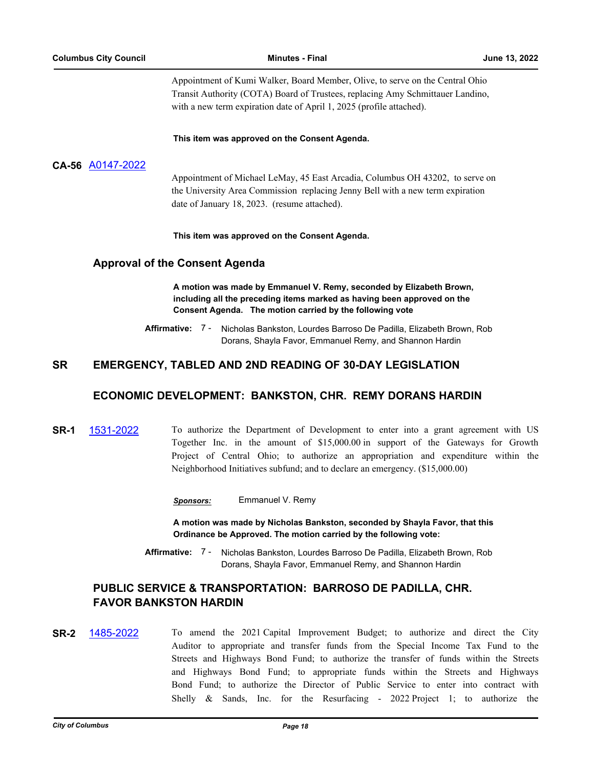Appointment of Kumi Walker, Board Member, Olive, to serve on the Central Ohio Transit Authority (COTA) Board of Trustees, replacing Amy Schmittauer Landino, with a new term expiration date of April 1, 2025 (profile attached).

**This item was approved on the Consent Agenda.**

## **CA-56** [A0147-2022](http://columbus.legistar.com/gateway.aspx?m=l&id=/matter.aspx?key=123050)

Appointment of Michael LeMay, 45 East Arcadia, Columbus OH 43202, to serve on the University Area Commission replacing Jenny Bell with a new term expiration date of January 18, 2023. (resume attached).

**This item was approved on the Consent Agenda.**

## **Approval of the Consent Agenda**

**A motion was made by Emmanuel V. Remy, seconded by Elizabeth Brown, including all the preceding items marked as having been approved on the Consent Agenda. The motion carried by the following vote**

**Affirmative:** Nicholas Bankston, Lourdes Barroso De Padilla, Elizabeth Brown, Rob Dorans, Shayla Favor, Emmanuel Remy, and Shannon Hardin Affirmative: 7 -

## **SR EMERGENCY, TABLED AND 2ND READING OF 30-DAY LEGISLATION**

## **ECONOMIC DEVELOPMENT: BANKSTON, CHR. REMY DORANS HARDIN**

**SR-1** [1531-2022](http://columbus.legistar.com/gateway.aspx?m=l&id=/matter.aspx?key=123049) To authorize the Department of Development to enter into a grant agreement with US Together Inc. in the amount of \$15,000.00 in support of the Gateways for Growth Project of Central Ohio; to authorize an appropriation and expenditure within the Neighborhood Initiatives subfund; and to declare an emergency. (\$15,000.00)

*Sponsors:* Emmanuel V. Remy

**A motion was made by Nicholas Bankston, seconded by Shayla Favor, that this Ordinance be Approved. The motion carried by the following vote:**

**Affirmative:** Nicholas Bankston, Lourdes Barroso De Padilla, Elizabeth Brown, Rob Dorans, Shayla Favor, Emmanuel Remy, and Shannon Hardin Affirmative: 7 -

## **PUBLIC SERVICE & TRANSPORTATION: BARROSO DE PADILLA, CHR. FAVOR BANKSTON HARDIN**

**SR-2** [1485-2022](http://columbus.legistar.com/gateway.aspx?m=l&id=/matter.aspx?key=123003) To amend the 2021 Capital Improvement Budget; to authorize and direct the City Auditor to appropriate and transfer funds from the Special Income Tax Fund to the Streets and Highways Bond Fund; to authorize the transfer of funds within the Streets and Highways Bond Fund; to appropriate funds within the Streets and Highways Bond Fund; to authorize the Director of Public Service to enter into contract with Shelly & Sands, Inc. for the Resurfacing - 2022 Project 1; to authorize the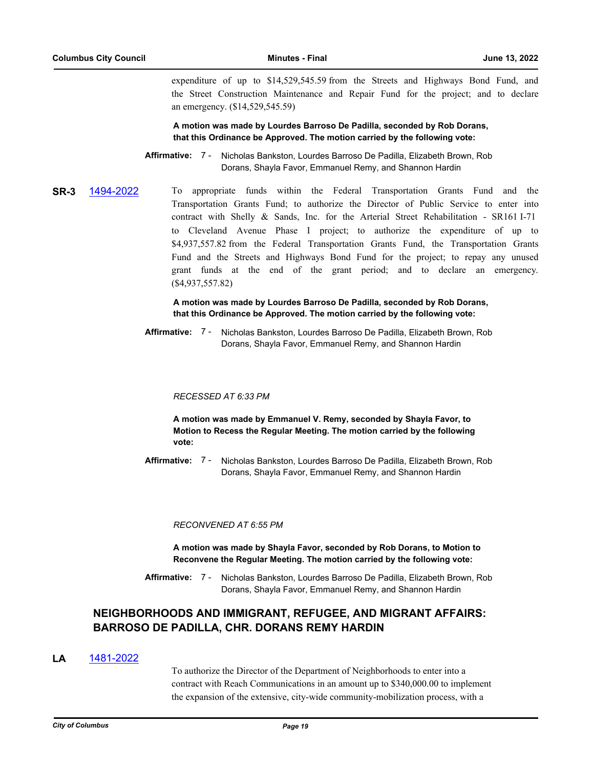expenditure of up to \$14,529,545.59 from the Streets and Highways Bond Fund, and the Street Construction Maintenance and Repair Fund for the project; and to declare an emergency. (\$14,529,545.59)

**A motion was made by Lourdes Barroso De Padilla, seconded by Rob Dorans, that this Ordinance be Approved. The motion carried by the following vote:**

Affirmative: 7 - Nicholas Bankston, Lourdes Barroso De Padilla, Elizabeth Brown, Rob Dorans, Shayla Favor, Emmanuel Remy, and Shannon Hardin

**SR-3** [1494-2022](http://columbus.legistar.com/gateway.aspx?m=l&id=/matter.aspx?key=123012) To appropriate funds within the Federal Transportation Grants Fund and the Transportation Grants Fund; to authorize the Director of Public Service to enter into contract with Shelly & Sands, Inc. for the Arterial Street Rehabilitation - SR161 I-71 to Cleveland Avenue Phase I project; to authorize the expenditure of up to \$4,937,557.82 from the Federal Transportation Grants Fund, the Transportation Grants Fund and the Streets and Highways Bond Fund for the project; to repay any unused grant funds at the end of the grant period; and to declare an emergency. (\$4,937,557.82)

> **A motion was made by Lourdes Barroso De Padilla, seconded by Rob Dorans, that this Ordinance be Approved. The motion carried by the following vote:**

Affirmative: 7 - Nicholas Bankston, Lourdes Barroso De Padilla, Elizabeth Brown, Rob Dorans, Shayla Favor, Emmanuel Remy, and Shannon Hardin

#### *RECESSED AT 6:33 PM*

**A motion was made by Emmanuel V. Remy, seconded by Shayla Favor, to Motion to Recess the Regular Meeting. The motion carried by the following vote:**

Affirmative: 7 - Nicholas Bankston, Lourdes Barroso De Padilla, Elizabeth Brown, Rob Dorans, Shayla Favor, Emmanuel Remy, and Shannon Hardin

#### *RECONVENED AT 6:55 PM*

**A motion was made by Shayla Favor, seconded by Rob Dorans, to Motion to Reconvene the Regular Meeting. The motion carried by the following vote:**

Affirmative: 7 - Nicholas Bankston, Lourdes Barroso De Padilla, Elizabeth Brown, Rob Dorans, Shayla Favor, Emmanuel Remy, and Shannon Hardin

## **NEIGHBORHOODS AND IMMIGRANT, REFUGEE, AND MIGRANT AFFAIRS: BARROSO DE PADILLA, CHR. DORANS REMY HARDIN**

### **LA** [1481-2022](http://columbus.legistar.com/gateway.aspx?m=l&id=/matter.aspx?key=122999)

To authorize the Director of the Department of Neighborhoods to enter into a contract with Reach Communications in an amount up to \$340,000.00 to implement the expansion of the extensive, city-wide community-mobilization process, with a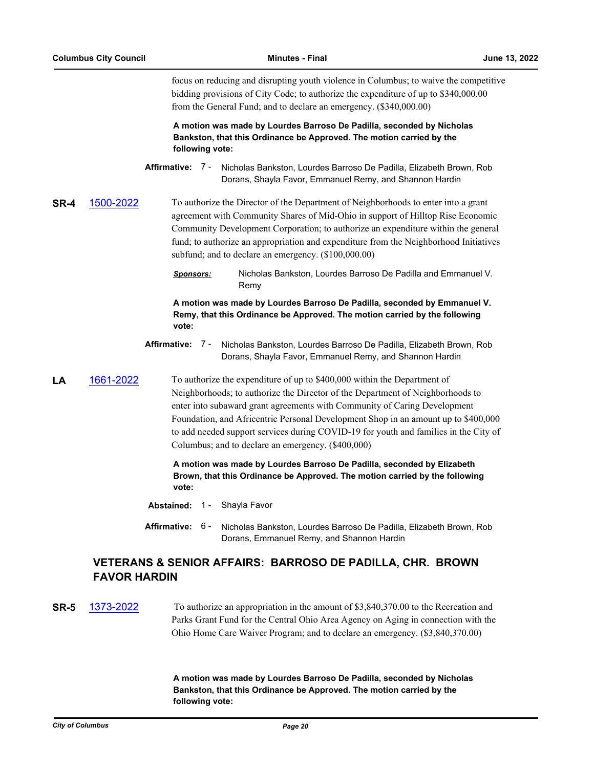focus on reducing and disrupting youth violence in Columbus; to waive the competitive bidding provisions of City Code; to authorize the expenditure of up to \$340,000.00 from the General Fund; and to declare an emergency. (\$340,000.00)

#### **A motion was made by Lourdes Barroso De Padilla, seconded by Nicholas Bankston, that this Ordinance be Approved. The motion carried by the following vote:**

**Affirmative:** Nicholas Bankston, Lourdes Barroso De Padilla, Elizabeth Brown, Rob Dorans, Shayla Favor, Emmanuel Remy, and Shannon Hardin Affirmative: 7 -

**SR-4** [1500-2022](http://columbus.legistar.com/gateway.aspx?m=l&id=/matter.aspx?key=123018) To authorize the Director of the Department of Neighborhoods to enter into a grant agreement with Community Shares of Mid-Ohio in support of Hilltop Rise Economic Community Development Corporation; to authorize an expenditure within the general fund; to authorize an appropriation and expenditure from the Neighborhood Initiatives subfund; and to declare an emergency. (\$100,000.00)

> *Sponsors:* Nicholas Bankston, Lourdes Barroso De Padilla and Emmanuel V. Remy

> **A motion was made by Lourdes Barroso De Padilla, seconded by Emmanuel V. Remy, that this Ordinance be Approved. The motion carried by the following vote:**

Affirmative: 7 - Nicholas Bankston, Lourdes Barroso De Padilla, Elizabeth Brown, Rob Dorans, Shayla Favor, Emmanuel Remy, and Shannon Hardin

**LA** [1661-2022](http://columbus.legistar.com/gateway.aspx?m=l&id=/matter.aspx?key=123181) To authorize the expenditure of up to \$400,000 within the Department of Neighborhoods; to authorize the Director of the Department of Neighborhoods to enter into subaward grant agreements with Community of Caring Development Foundation, and Africentric Personal Development Shop in an amount up to \$400,000 to add needed support services during COVID-19 for youth and families in the City of Columbus; and to declare an emergency. (\$400,000)

> **A motion was made by Lourdes Barroso De Padilla, seconded by Elizabeth Brown, that this Ordinance be Approved. The motion carried by the following vote:**

- **Abstained:** 1 Shayla Favor
- **Affirmative:** Nicholas Bankston, Lourdes Barroso De Padilla, Elizabeth Brown, Rob Dorans, Emmanuel Remy, and Shannon Hardin Affirmative: 6-

## **VETERANS & SENIOR AFFAIRS: BARROSO DE PADILLA, CHR. BROWN FAVOR HARDIN**

## **SR-5** [1373-2022](http://columbus.legistar.com/gateway.aspx?m=l&id=/matter.aspx?key=122889) To authorize an appropriation in the amount of \$3,840,370.00 to the Recreation and Parks Grant Fund for the Central Ohio Area Agency on Aging in connection with the Ohio Home Care Waiver Program; and to declare an emergency. (\$3,840,370.00)

**A motion was made by Lourdes Barroso De Padilla, seconded by Nicholas Bankston, that this Ordinance be Approved. The motion carried by the following vote:**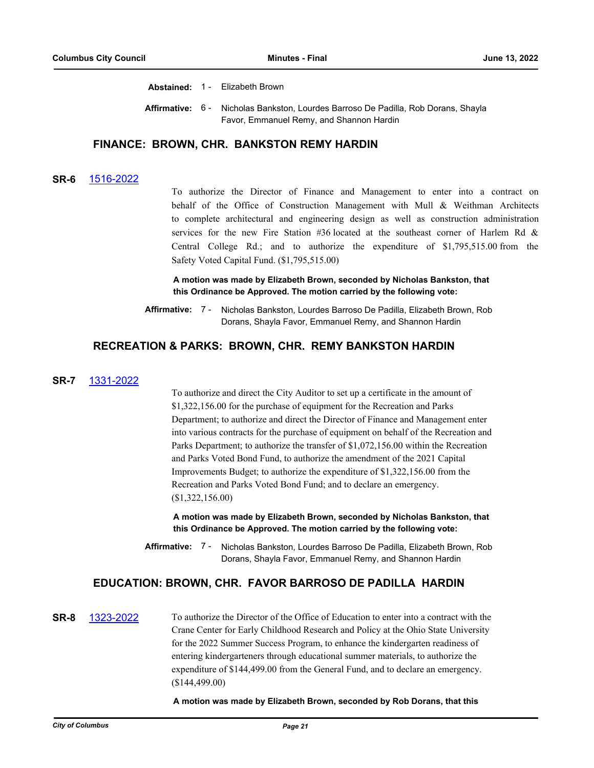**Abstained:** 1 - Elizabeth Brown

Affirmative: 6 - Nicholas Bankston, Lourdes Barroso De Padilla, Rob Dorans, Shayla Favor, Emmanuel Remy, and Shannon Hardin

## **FINANCE: BROWN, CHR. BANKSTON REMY HARDIN**

#### **SR-6** [1516-2022](http://columbus.legistar.com/gateway.aspx?m=l&id=/matter.aspx?key=123034)

To authorize the Director of Finance and Management to enter into a contract on behalf of the Office of Construction Management with Mull & Weithman Architects to complete architectural and engineering design as well as construction administration services for the new Fire Station #36 located at the southeast corner of Harlem Rd & Central College Rd.; and to authorize the expenditure of \$1,795,515.00 from the Safety Voted Capital Fund. (\$1,795,515.00)

**A motion was made by Elizabeth Brown, seconded by Nicholas Bankston, that this Ordinance be Approved. The motion carried by the following vote:**

**Affirmative:** Nicholas Bankston, Lourdes Barroso De Padilla, Elizabeth Brown, Rob Dorans, Shayla Favor, Emmanuel Remy, and Shannon Hardin Affirmative: 7 -

#### **RECREATION & PARKS: BROWN, CHR. REMY BANKSTON HARDIN**

#### **SR-7** [1331-2022](http://columbus.legistar.com/gateway.aspx?m=l&id=/matter.aspx?key=122847)

To authorize and direct the City Auditor to set up a certificate in the amount of \$1,322,156.00 for the purchase of equipment for the Recreation and Parks Department; to authorize and direct the Director of Finance and Management enter into various contracts for the purchase of equipment on behalf of the Recreation and Parks Department; to authorize the transfer of \$1,072,156.00 within the Recreation and Parks Voted Bond Fund, to authorize the amendment of the 2021 Capital Improvements Budget; to authorize the expenditure of \$1,322,156.00 from the Recreation and Parks Voted Bond Fund; and to declare an emergency. (\$1,322,156.00)

**A motion was made by Elizabeth Brown, seconded by Nicholas Bankston, that this Ordinance be Approved. The motion carried by the following vote:**

Affirmative: 7 - Nicholas Bankston, Lourdes Barroso De Padilla, Elizabeth Brown, Rob Dorans, Shayla Favor, Emmanuel Remy, and Shannon Hardin

#### **EDUCATION: BROWN, CHR. FAVOR BARROSO DE PADILLA HARDIN**

## **SR-8** [1323-2022](http://columbus.legistar.com/gateway.aspx?m=l&id=/matter.aspx?key=122839) To authorize the Director of the Office of Education to enter into a contract with the Crane Center for Early Childhood Research and Policy at the Ohio State University for the 2022 Summer Success Program, to enhance the kindergarten readiness of entering kindergarteners through educational summer materials, to authorize the expenditure of \$144,499.00 from the General Fund, and to declare an emergency. (\$144,499.00)

**A motion was made by Elizabeth Brown, seconded by Rob Dorans, that this**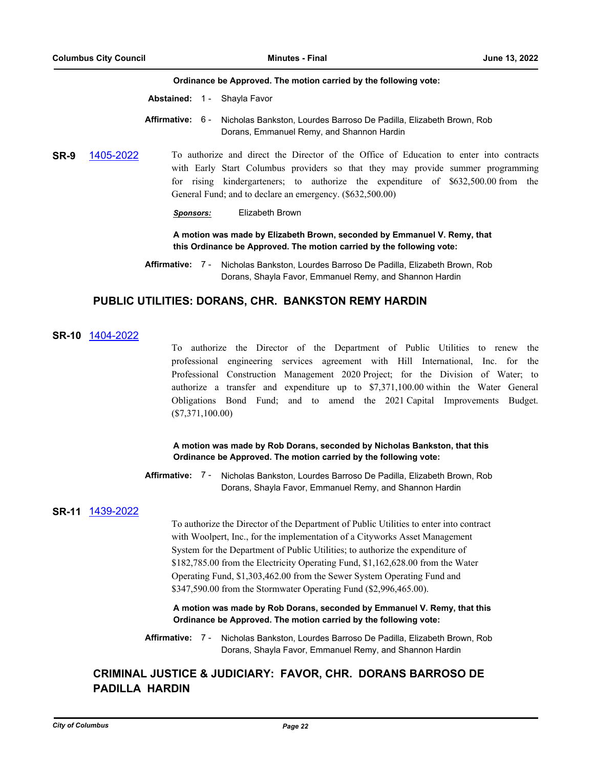#### **Ordinance be Approved. The motion carried by the following vote:**

**Abstained:** 1 - Shayla Favor

- **Affirmative:** Nicholas Bankston, Lourdes Barroso De Padilla, Elizabeth Brown, Rob Dorans, Emmanuel Remy, and Shannon Hardin Affirmative: 6 -
- **SR-9** [1405-2022](http://columbus.legistar.com/gateway.aspx?m=l&id=/matter.aspx?key=122922) To authorize and direct the Director of the Office of Education to enter into contracts with Early Start Columbus providers so that they may provide summer programming for rising kindergarteners; to authorize the expenditure of \$632,500.00 from the General Fund; and to declare an emergency. (\$632,500.00)

#### *Sponsors:* Elizabeth Brown

**A motion was made by Elizabeth Brown, seconded by Emmanuel V. Remy, that this Ordinance be Approved. The motion carried by the following vote:**

## **PUBLIC UTILITIES: DORANS, CHR. BANKSTON REMY HARDIN**

#### **SR-10** [1404-2022](http://columbus.legistar.com/gateway.aspx?m=l&id=/matter.aspx?key=122921)

To authorize the Director of the Department of Public Utilities to renew the professional engineering services agreement with Hill International, Inc. for the Professional Construction Management 2020 Project; for the Division of Water; to authorize a transfer and expenditure up to \$7,371,100.00 within the Water General Obligations Bond Fund; and to amend the 2021 Capital Improvements Budget. (\$7,371,100.00)

#### **A motion was made by Rob Dorans, seconded by Nicholas Bankston, that this Ordinance be Approved. The motion carried by the following vote:**

Affirmative: 7 - Nicholas Bankston, Lourdes Barroso De Padilla, Elizabeth Brown, Rob Dorans, Shayla Favor, Emmanuel Remy, and Shannon Hardin

#### **SR-11** [1439-2022](http://columbus.legistar.com/gateway.aspx?m=l&id=/matter.aspx?key=122956)

To authorize the Director of the Department of Public Utilities to enter into contract with Woolpert, Inc., for the implementation of a Cityworks Asset Management System for the Department of Public Utilities; to authorize the expenditure of \$182,785.00 from the Electricity Operating Fund, \$1,162,628.00 from the Water Operating Fund, \$1,303,462.00 from the Sewer System Operating Fund and \$347,590.00 from the Stormwater Operating Fund (\$2,996,465.00).

**A motion was made by Rob Dorans, seconded by Emmanuel V. Remy, that this Ordinance be Approved. The motion carried by the following vote:**

Affirmative: 7 - Nicholas Bankston, Lourdes Barroso De Padilla, Elizabeth Brown, Rob Dorans, Shayla Favor, Emmanuel Remy, and Shannon Hardin

## **CRIMINAL JUSTICE & JUDICIARY: FAVOR, CHR. DORANS BARROSO DE PADILLA HARDIN**

**Affirmative:** Nicholas Bankston, Lourdes Barroso De Padilla, Elizabeth Brown, Rob Dorans, Shayla Favor, Emmanuel Remy, and Shannon Hardin Affirmative: 7 -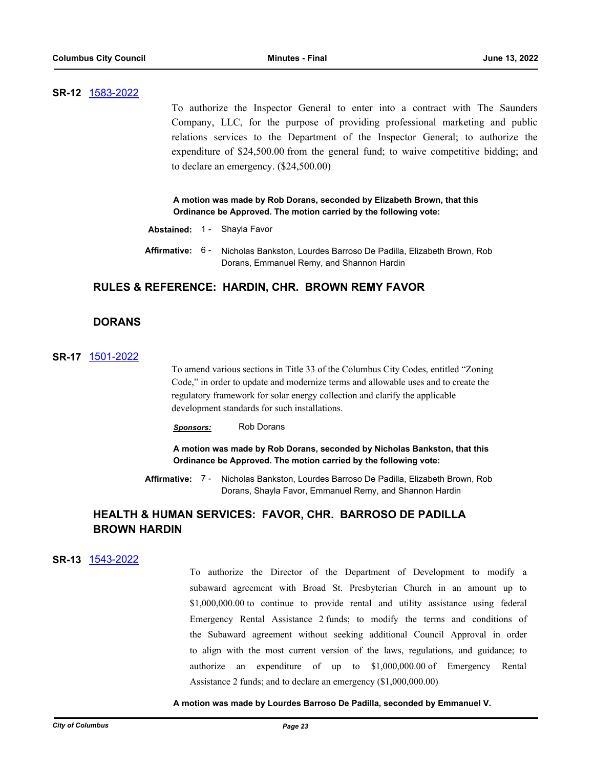#### **SR-12** [1583-2022](http://columbus.legistar.com/gateway.aspx?m=l&id=/matter.aspx?key=123102)

To authorize the Inspector General to enter into a contract with The Saunders Company, LLC, for the purpose of providing professional marketing and public relations services to the Department of the Inspector General; to authorize the expenditure of \$24,500.00 from the general fund; to waive competitive bidding; and to declare an emergency. (\$24,500.00)

**A motion was made by Rob Dorans, seconded by Elizabeth Brown, that this Ordinance be Approved. The motion carried by the following vote:**

- **Abstained:** 1 Shayla Favor
- Affirmative: 6 Nicholas Bankston, Lourdes Barroso De Padilla, Elizabeth Brown, Rob Dorans, Emmanuel Remy, and Shannon Hardin

## **RULES & REFERENCE: HARDIN, CHR. BROWN REMY FAVOR**

## **DORANS**

### **SR-17** [1501-2022](http://columbus.legistar.com/gateway.aspx?m=l&id=/matter.aspx?key=123019)

To amend various sections in Title 33 of the Columbus City Codes, entitled "Zoning Code," in order to update and modernize terms and allowable uses and to create the regulatory framework for solar energy collection and clarify the applicable development standards for such installations.

*Sponsors:* Rob Dorans

**A motion was made by Rob Dorans, seconded by Nicholas Bankston, that this Ordinance be Approved. The motion carried by the following vote:**

Affirmative: 7 - Nicholas Bankston, Lourdes Barroso De Padilla, Elizabeth Brown, Rob Dorans, Shayla Favor, Emmanuel Remy, and Shannon Hardin

## **HEALTH & HUMAN SERVICES: FAVOR, CHR. BARROSO DE PADILLA BROWN HARDIN**

#### **SR-13** [1543-2022](http://columbus.legistar.com/gateway.aspx?m=l&id=/matter.aspx?key=123061)

To authorize the Director of the Department of Development to modify a subaward agreement with Broad St. Presbyterian Church in an amount up to \$1,000,000.00 to continue to provide rental and utility assistance using federal Emergency Rental Assistance 2 funds; to modify the terms and conditions of the Subaward agreement without seeking additional Council Approval in order to align with the most current version of the laws, regulations, and guidance; to authorize an expenditure of up to \$1,000,000.00 of Emergency Rental Assistance 2 funds; and to declare an emergency (\$1,000,000.00)

#### **A motion was made by Lourdes Barroso De Padilla, seconded by Emmanuel V.**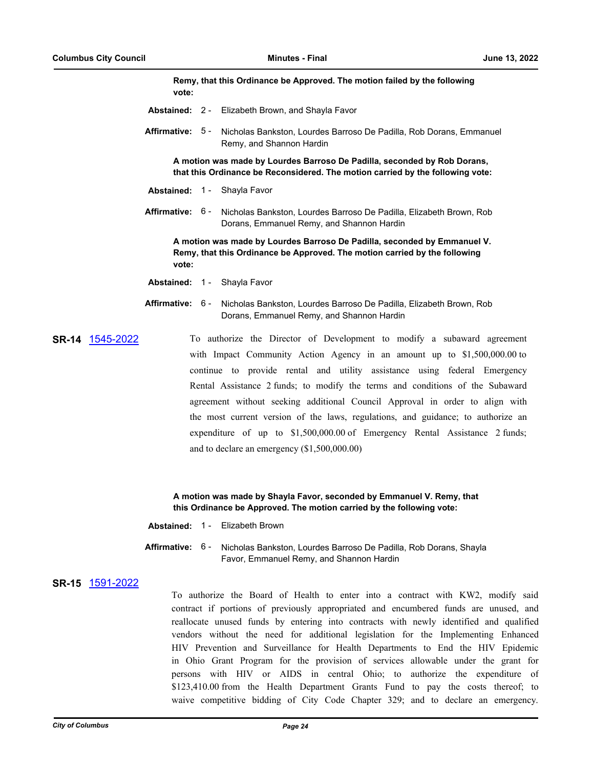**Remy, that this Ordinance be Approved. The motion failed by the following vote:**

- **Abstained:** 2 Elizabeth Brown, and Shayla Favor
- Affirmative: 5 Nicholas Bankston, Lourdes Barroso De Padilla, Rob Dorans, Emmanuel Remy, and Shannon Hardin

**A motion was made by Lourdes Barroso De Padilla, seconded by Rob Dorans, that this Ordinance be Reconsidered. The motion carried by the following vote:**

- **Abstained:** 1 Shayla Favor
- Affirmative: 6 Nicholas Bankston, Lourdes Barroso De Padilla, Elizabeth Brown, Rob Dorans, Emmanuel Remy, and Shannon Hardin

**A motion was made by Lourdes Barroso De Padilla, seconded by Emmanuel V. Remy, that this Ordinance be Approved. The motion carried by the following vote:**

- **Abstained:** 1 Shayla Favor
- **Affirmative:** Nicholas Bankston, Lourdes Barroso De Padilla, Elizabeth Brown, Rob Dorans, Emmanuel Remy, and Shannon Hardin Affirmative: 6 -
- **SR-14** [1545-2022](http://columbus.legistar.com/gateway.aspx?m=l&id=/matter.aspx?key=123063) To authorize the Director of Development to modify a subaward agreement with Impact Community Action Agency in an amount up to \$1,500,000.00 to continue to provide rental and utility assistance using federal Emergency Rental Assistance 2 funds; to modify the terms and conditions of the Subaward agreement without seeking additional Council Approval in order to align with the most current version of the laws, regulations, and guidance; to authorize an expenditure of up to \$1,500,000.00 of Emergency Rental Assistance 2 funds; and to declare an emergency (\$1,500,000.00)

**A motion was made by Shayla Favor, seconded by Emmanuel V. Remy, that this Ordinance be Approved. The motion carried by the following vote:**

|  | <b>Abstained: 1 - Elizabeth Brown</b>                                                                                                 |
|--|---------------------------------------------------------------------------------------------------------------------------------------|
|  | <b>Affirmative:</b> 6 - Nicholas Bankston, Lourdes Barroso De Padilla, Rob Dorans, Shayla<br>Favor, Emmanuel Remy, and Shannon Hardin |

#### **SR-15** [1591-2022](http://columbus.legistar.com/gateway.aspx?m=l&id=/matter.aspx?key=123111)

To authorize the Board of Health to enter into a contract with KW2, modify said contract if portions of previously appropriated and encumbered funds are unused, and reallocate unused funds by entering into contracts with newly identified and qualified vendors without the need for additional legislation for the Implementing Enhanced HIV Prevention and Surveillance for Health Departments to End the HIV Epidemic in Ohio Grant Program for the provision of services allowable under the grant for persons with HIV or AIDS in central Ohio; to authorize the expenditure of \$123,410.00 from the Health Department Grants Fund to pay the costs thereof; to waive competitive bidding of City Code Chapter 329; and to declare an emergency.